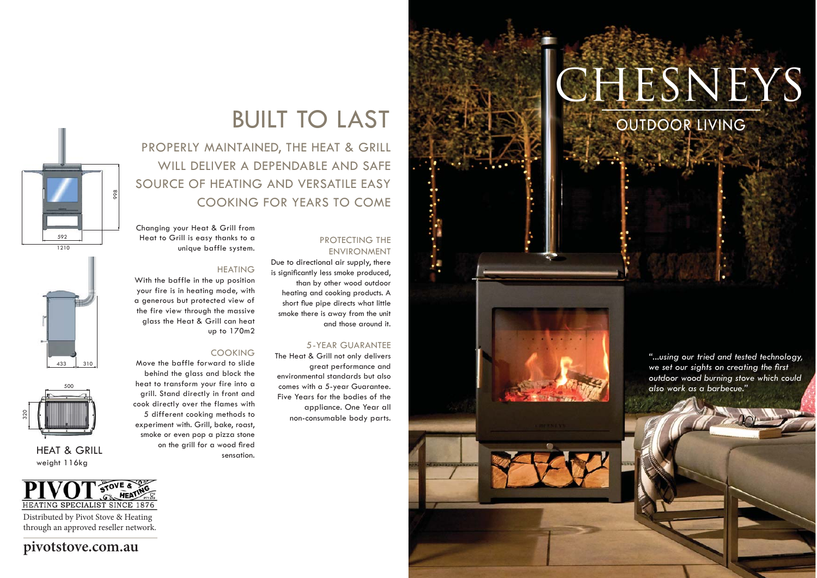# **CHESNEYS**

OUTDOOR LIVING

*"...using our tried and tested technology,*  we set our sights on creating the first *outdoor wood burning stove which could also work as a barbecue."*

# BUILT TO LAST

PROPERLY MAINTAINED, THE HEAT & GRILL WILL DELIVER A DEPENDABLE AND SAFE SOURCE OF HEATING AND VERSATILE EASY COOKING FOR YEARS TO COME

#### PROTECTING THE ENVIRONMENT

Due to directional air supply, there is significantly less smoke produced, than by other wood outdoor heating and cooking products. A short flue pipe directs what little smoke there is away from the unit and those around it.

#### 5-YEAR GUARANTEE

The Heat & Grill not only delivers great performance and environmental standards but also comes with a 5-year Guarantee. Five Years for the bodies of the appliance. One Year all non-consumable body parts.

Changing your Heat & Grill from Heat to Grill is easy thanks to a unique baffle system.

#### HEATING

With the baffle in the up position your fire is in heating mode, with a generous but protected view of the fire view through the massive glass the Heat & Grill can heat up to 170m2

#### COOKING

Move the baffle forward to slide behind the glass and block the heat to transform your fire into a grill. Stand directly in front and cook directly over the flames with 5 different cooking methods to experiment with. Grill, bake, roast, smoke or even pop a pizza stone on the grill for a wood fired sensation.







HEAT & GRILLweight 116kg



Distributed by Pivot Stove & Heating through an approved reseller network.